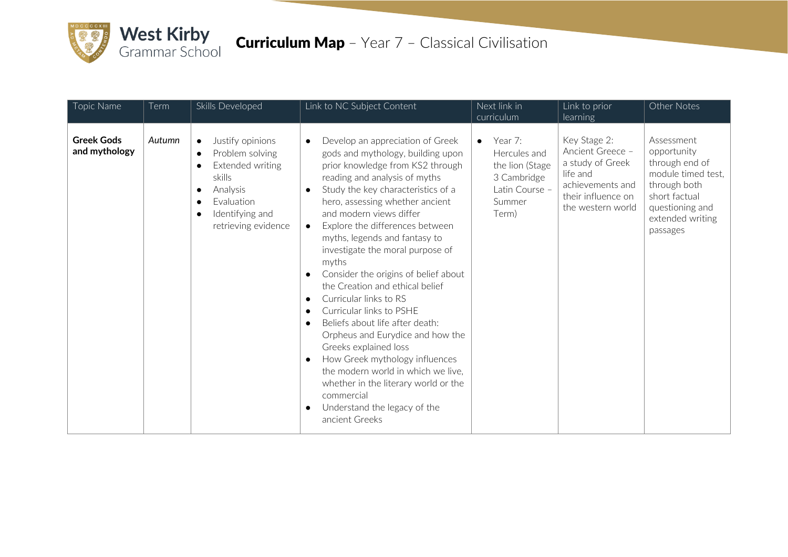

| Topic Name                         | Term   | Skills Developed                                                                                                                                                                          | Link to NC Subject Content                                                                                                                                                                                                                                                                                                                                                                                                                                                                                                                                                                                                                                                                                                                                                                                                                        | Next link in<br>curriculum                                                                                  | Link to prior<br><b>learning</b>                                                                                                | Other Notes                                                                                                                                           |
|------------------------------------|--------|-------------------------------------------------------------------------------------------------------------------------------------------------------------------------------------------|---------------------------------------------------------------------------------------------------------------------------------------------------------------------------------------------------------------------------------------------------------------------------------------------------------------------------------------------------------------------------------------------------------------------------------------------------------------------------------------------------------------------------------------------------------------------------------------------------------------------------------------------------------------------------------------------------------------------------------------------------------------------------------------------------------------------------------------------------|-------------------------------------------------------------------------------------------------------------|---------------------------------------------------------------------------------------------------------------------------------|-------------------------------------------------------------------------------------------------------------------------------------------------------|
| <b>Greek Gods</b><br>and mythology | Autumn | Justify opinions<br>Problem solving<br>$\bullet$<br>Extended writing<br>skills<br>Analysis<br>$\bullet$<br>Fvaluation<br>$\bullet$<br>Identifying and<br>$\bullet$<br>retrieving evidence | Develop an appreciation of Greek<br>gods and mythology, building upon<br>prior knowledge from KS2 through<br>reading and analysis of myths<br>Study the key characteristics of a<br>$\bullet$<br>hero, assessing whether ancient<br>and modern views differ<br>Explore the differences between<br>$\bullet$<br>myths, legends and fantasy to<br>investigate the moral purpose of<br>myths<br>Consider the origins of belief about<br>the Creation and ethical belief<br>Curricular links to RS<br>$\bullet$<br>Curricular links to PSHE<br>Beliefs about life after death:<br>$\bullet$<br>Orpheus and Eurydice and how the<br>Greeks explained loss<br>How Greek mythology influences<br>the modern world in which we live.<br>whether in the literary world or the<br>commercial<br>Understand the legacy of the<br>$\bullet$<br>ancient Greeks | Year 7:<br>$\bullet$<br>Hercules and<br>the lion (Stage<br>3 Cambridge<br>Latin Course -<br>Summer<br>Term) | Key Stage 2:<br>Ancient Greece -<br>a study of Greek<br>life and<br>achievements and<br>their influence on<br>the western world | Assessment<br>opportunity<br>through end of<br>module timed test.<br>through both<br>short factual<br>questioning and<br>extended writing<br>passages |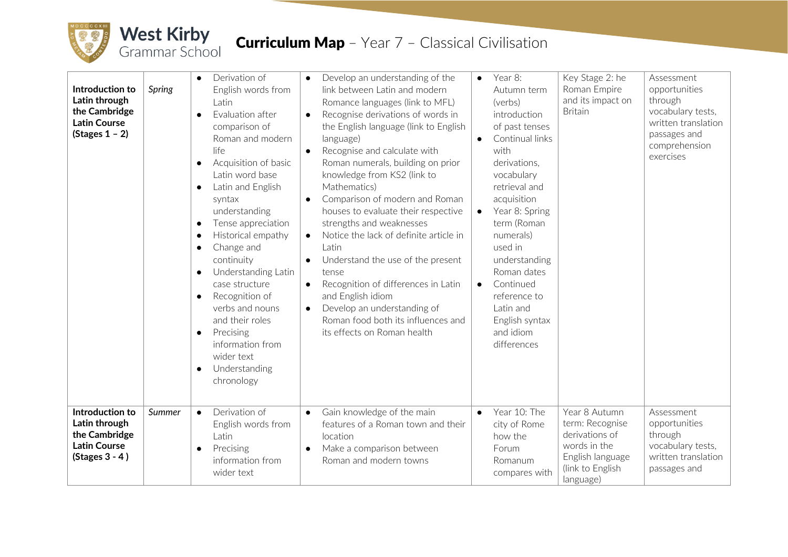

## **Curriculum Map** - Year 7 - Classical Civilisation

| Introduction to<br>Latin through<br>the Cambridge<br><b>Latin Course</b><br>$(Stages 1 - 2)$ | <b>Spring</b> | Derivation of<br>$\bullet$<br>English words from<br>Latin<br>Evaluation after<br>comparison of<br>Roman and modern<br>life<br>Acquisition of basic<br>Latin word base<br>Latin and English<br>$\bullet$<br>syntax<br>understanding<br>Tense appreciation<br>$\bullet$<br>Historical empathy<br>$\bullet$<br>Change and<br>$\bullet$<br>continuity<br>Understanding Latin<br>$\bullet$<br>case structure<br>Recognition of<br>$\bullet$<br>verbs and nouns<br>and their roles<br>Precising<br>$\bullet$<br>information from<br>wider text<br>Understanding<br>$\bullet$<br>chronology | Develop an understanding of the<br>$\bullet$<br>link between Latin and modern<br>Romance languages (link to MFL)<br>Recognise derivations of words in<br>$\bullet$<br>the English language (link to English<br>language)<br>Recognise and calculate with<br>$\bullet$<br>Roman numerals, building on prior<br>knowledge from KS2 (link to<br>Mathematics)<br>Comparison of modern and Roman<br>$\bullet$<br>houses to evaluate their respective<br>strengths and weaknesses<br>Notice the lack of definite article in<br>$\bullet$<br>Latin<br>Understand the use of the present<br>tense<br>Recognition of differences in Latin<br>$\bullet$<br>and English idiom<br>Develop an understanding of<br>$\bullet$<br>Roman food both its influences and<br>its effects on Roman health | $\bullet$<br>$\bullet$<br>$\bullet$ | Year 8:<br>Autumn term<br>(verbs)<br>introduction<br>of past tenses<br>Continual links<br>with<br>derivations.<br>vocabulary<br>retrieval and<br>acquisition<br>Year 8: Spring<br>term (Roman<br>numerals)<br>used in<br>understanding<br>Roman dates<br>Continued<br>reference to<br>Latin and<br>English syntax<br>and idiom<br>differences | Key Stage 2: he<br>Roman Empire<br>and its impact on<br><b>Britain</b>                                                  | Assessment<br>opportunities<br>through<br>vocabulary tests,<br>written translation<br>passages and<br>comprehension<br>exercises |
|----------------------------------------------------------------------------------------------|---------------|--------------------------------------------------------------------------------------------------------------------------------------------------------------------------------------------------------------------------------------------------------------------------------------------------------------------------------------------------------------------------------------------------------------------------------------------------------------------------------------------------------------------------------------------------------------------------------------|-------------------------------------------------------------------------------------------------------------------------------------------------------------------------------------------------------------------------------------------------------------------------------------------------------------------------------------------------------------------------------------------------------------------------------------------------------------------------------------------------------------------------------------------------------------------------------------------------------------------------------------------------------------------------------------------------------------------------------------------------------------------------------------|-------------------------------------|-----------------------------------------------------------------------------------------------------------------------------------------------------------------------------------------------------------------------------------------------------------------------------------------------------------------------------------------------|-------------------------------------------------------------------------------------------------------------------------|----------------------------------------------------------------------------------------------------------------------------------|
| Introduction to<br>Latin through<br>the Cambridge<br><b>Latin Course</b><br>$(Stages 3 - 4)$ | Summer        | Derivation of<br>$\bullet$<br>English words from<br>Latin<br>Precising<br>information from<br>wider text                                                                                                                                                                                                                                                                                                                                                                                                                                                                             | Gain knowledge of the main<br>$\bullet$<br>features of a Roman town and their<br>location<br>Make a comparison between<br>Roman and modern towns                                                                                                                                                                                                                                                                                                                                                                                                                                                                                                                                                                                                                                    | $\bullet$                           | Year 10: The<br>city of Rome<br>how the<br>Forum<br>Romanum<br>compares with                                                                                                                                                                                                                                                                  | Year 8 Autumn<br>term: Recognise<br>derivations of<br>words in the<br>English language<br>(link to English<br>language) | Assessment<br>opportunities<br>through<br>vocabulary tests,<br>written translation<br>passages and                               |